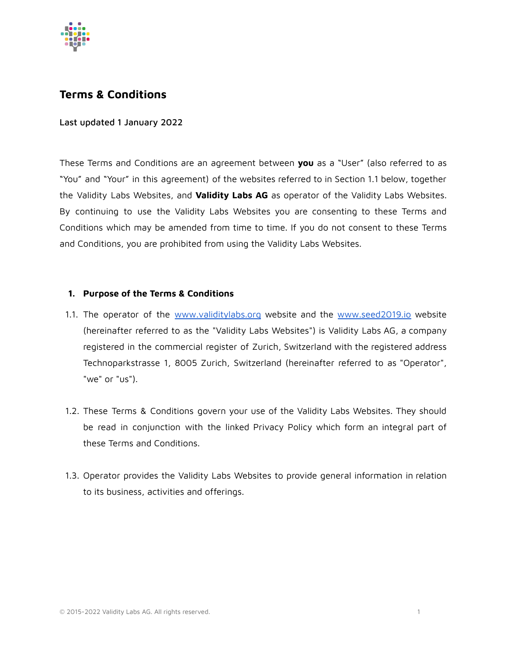

# **Terms & Conditions**

### Last updated 1 January 2022

These Terms and Conditions are an agreement between **you** as a "User" (also referred to as "You" and "Your" in this agreement) of the websites referred to in Section 1.1 below, together the Validity Labs Websites, and **Validity Labs AG** as operator of the Validity Labs Websites. By continuing to use the Validity Labs Websites you are consenting to these Terms and Conditions which may be amended from time to time. If you do not consent to these Terms and Conditions, you are prohibited from using the Validity Labs Websites.

### **1. Purpose of the Terms & Conditions**

- 1.1. The operator of the [www.validitylabs.org](http://www.validitylabs.org) website and the [www.seed2019.io](http://www.seed2019.io) website (hereinafter referred to as the "Validity Labs Websites") is Validity Labs AG, a company registered in the commercial register of Zurich, Switzerland with the registered address Technoparkstrasse 1, 8005 Zurich, Switzerland (hereinafter referred to as "Operator", "we" or "us").
- 1.2. These Terms & Conditions govern your use of the Validity Labs Websites. They should be read in conjunction with the linked Privacy Policy which form an integral part of these Terms and Conditions.
- 1.3. Operator provides the Validity Labs Websites to provide general information in relation to its business, activities and offerings.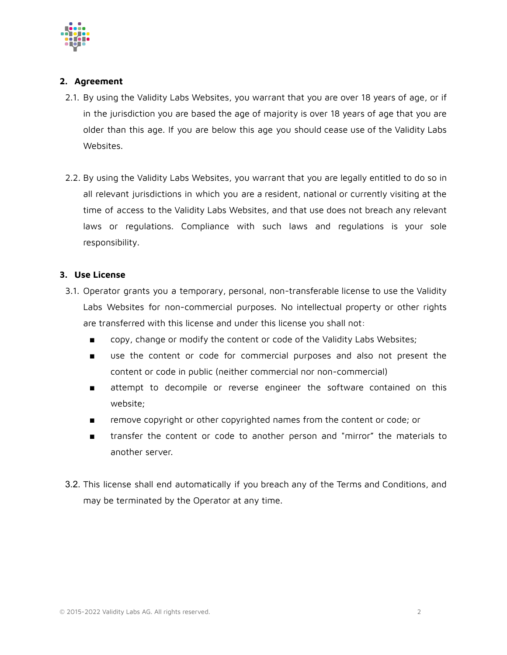

# **2. Agreement**

- 2.1. By using the Validity Labs Websites, you warrant that you are over 18 years of age, or if in the jurisdiction you are based the age of majority is over 18 years of age that you are older than this age. If you are below this age you should cease use of the Validity Labs Websites.
- 2.2. By using the Validity Labs Websites, you warrant that you are legally entitled to do so in all relevant jurisdictions in which you are a resident, national or currently visiting at the time of access to the Validity Labs Websites, and that use does not breach any relevant laws or regulations. Compliance with such laws and regulations is your sole responsibility.

# **3. Use License**

- 3.1. Operator grants you a temporary, personal, non-transferable license to use the Validity Labs Websites for non-commercial purposes. No intellectual property or other rights are transferred with this license and under this license you shall not:
	- copy, change or modify the content or code of the Validity Labs Websites;
	- use the content or code for commercial purposes and also not present the content or code in public (neither commercial nor non-commercial)
	- attempt to decompile or reverse engineer the software contained on this website;
	- remove copyright or other copyrighted names from the content or code; or
	- transfer the content or code to another person and "mirror" the materials to another server.
- 3.2. This license shall end automatically if you breach any of the Terms and Conditions, and may be terminated by the Operator at any time.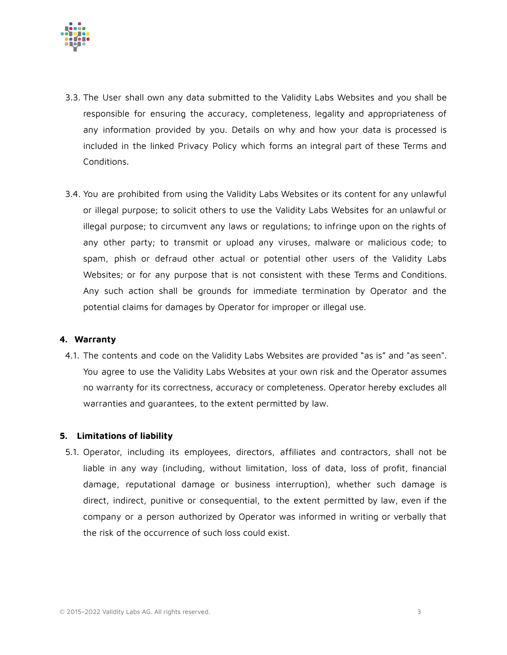

- 3.3. The User shall own any data submitted to the Validity Labs Websites and you shall be responsible for ensuring the accuracy, completeness, legality and appropriateness of any information provided by you. Details on why and how your data is processed is included in the linked Privacy Policy which forms an integral part of these Terms and Conditions.
- 3.4. You are prohibited from using the Validity Labs Websites or its content for any unlawful or illegal purpose; to solicit others to use the Validity Labs Websites for an unlawful or illegal purpose; to circumvent any laws or regulations; to infringe upon on the rights of any other party; to transmit or upload any viruses, malware or malicious code; to spam, phish or defraud other actual or potential other users of the Validity Labs Websites; or for any purpose that is not consistent with these Terms and Conditions. Any such action shall be grounds for immediate termination by Operator and the potential claims for damages by Operator for improper or illegal use.

#### **4. Warranty**

4.1. The contents and code on the Validity Labs Websites are provided "as is" and "as seen". You agree to use the Validity Labs Websites at your own risk and the Operator assumes no warranty for its correctness, accuracy or completeness. Operator hereby excludes all warranties and guarantees, to the extent permitted by law.

# **5. Limitations of liability**

5.1. Operator, including its employees, directors, affiliates and contractors, shall not be liable in any way (including, without limitation, loss of data, loss of profit, financial damage, reputational damage or business interruption), whether such damage is direct, indirect, punitive or consequential, to the extent permitted by law, even if the company or a person authorized by Operator was informed in writing or verbally that the risk of the occurrence of such loss could exist.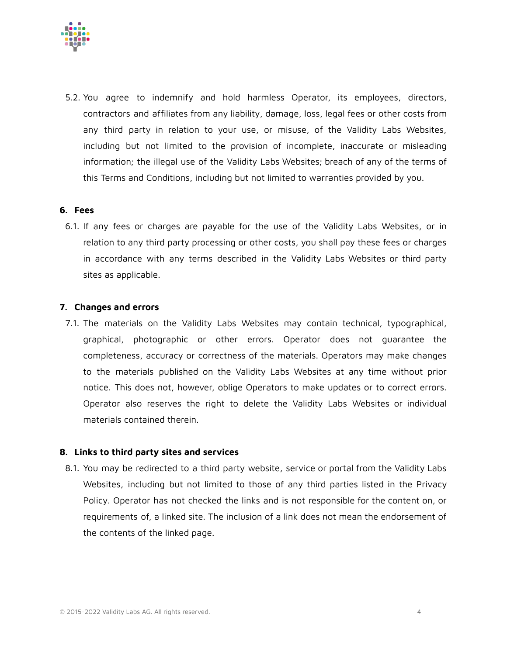

5.2. You agree to indemnify and hold harmless Operator, its employees, directors, contractors and affiliates from any liability, damage, loss, legal fees or other costs from any third party in relation to your use, or misuse, of the Validity Labs Websites, including but not limited to the provision of incomplete, inaccurate or misleading information; the illegal use of the Validity Labs Websites; breach of any of the terms of this Terms and Conditions, including but not limited to warranties provided by you.

#### **6. Fees**

6.1. If any fees or charges are payable for the use of the Validity Labs Websites, or in relation to any third party processing or other costs, you shall pay these fees or charges in accordance with any terms described in the Validity Labs Websites or third party sites as applicable.

#### **7. Changes and errors**

7.1. The materials on the Validity Labs Websites may contain technical, typographical, graphical, photographic or other errors. Operator does not guarantee the completeness, accuracy or correctness of the materials. Operators may make changes to the materials published on the Validity Labs Websites at any time without prior notice. This does not, however, oblige Operators to make updates or to correct errors. Operator also reserves the right to delete the Validity Labs Websites or individual materials contained therein.

#### **8. Links to third party sites and services**

8.1. You may be redirected to a third party website, service or portal from the Validity Labs Websites, including but not limited to those of any third parties listed in the Privacy Policy. Operator has not checked the links and is not responsible for the content on, or requirements of, a linked site. The inclusion of a link does not mean the endorsement of the contents of the linked page.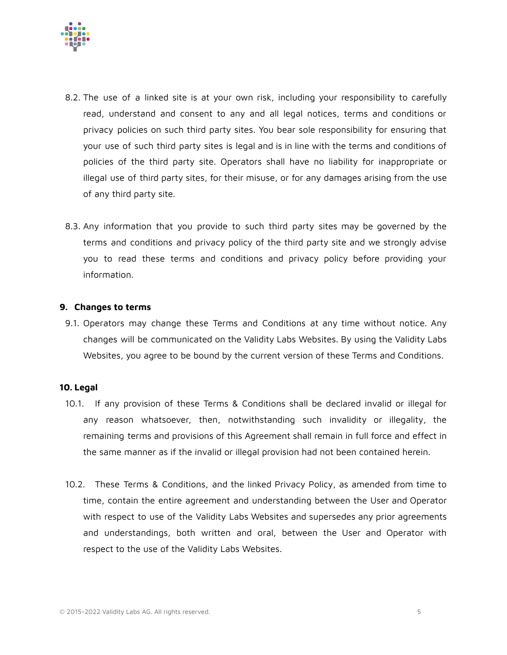

- 8.2. The use of a linked site is at your own risk, including your responsibility to carefully read, understand and consent to any and all legal notices, terms and conditions or privacy policies on such third party sites. You bear sole responsibility for ensuring that your use of such third party sites is legal and is in line with the terms and conditions of policies of the third party site. Operators shall have no liability for inappropriate or illegal use of third party sites, for their misuse, or for any damages arising from the use of any third party site.
- 8.3. Any information that you provide to such third party sites may be governed by the terms and conditions and privacy policy of the third party site and we strongly advise you to read these terms and conditions and privacy policy before providing your information.

#### **9. Changes to terms**

9.1. Operators may change these Terms and Conditions at any time without notice. Any changes will be communicated on the Validity Labs Websites. By using the Validity Labs Websites, you agree to be bound by the current version of these Terms and Conditions.

#### **10. Legal**

- 10.1. If any provision of these Terms & Conditions shall be declared invalid or illegal for any reason whatsoever, then, notwithstanding such invalidity or illegality, the remaining terms and provisions of this Agreement shall remain in full force and effect in the same manner as if the invalid or illegal provision had not been contained herein.
- 10.2. These Terms & Conditions, and the linked Privacy Policy, as amended from time to time, contain the entire agreement and understanding between the User and Operator with respect to use of the Validity Labs Websites and supersedes any prior agreements and understandings, both written and oral, between the User and Operator with respect to the use of the Validity Labs Websites.